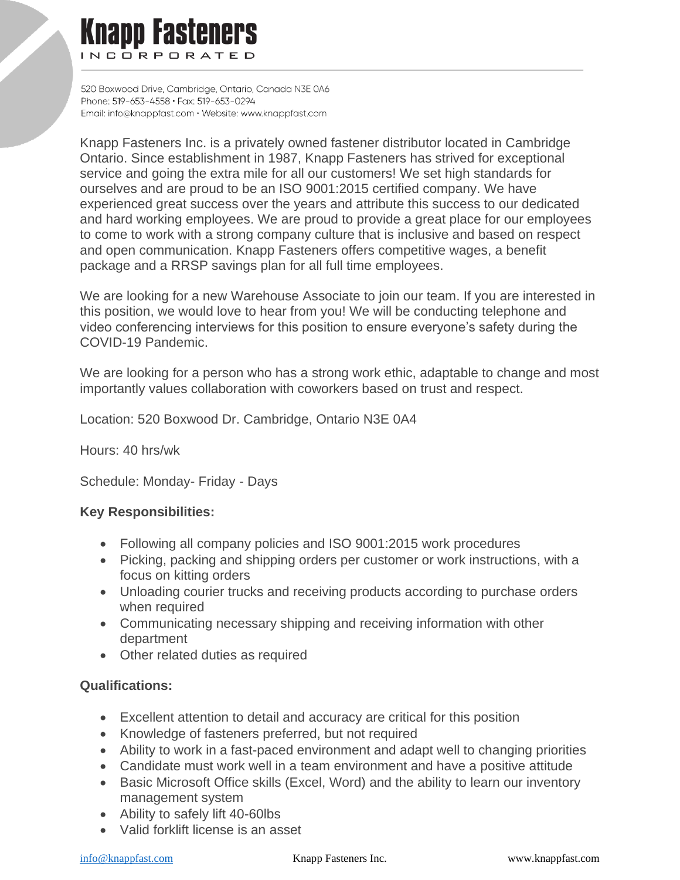## **Knapp Fasteners** INCORPORATED

520 Boxwood Drive, Cambridae, Ontario, Canada N3E 0A6 Phone: 519-653-4558 · Fax: 519-653-0294 Email: info@knappfast.com · Website: www.knappfast.com

Knapp Fasteners Inc. is a privately owned fastener distributor located in Cambridge Ontario. Since establishment in 1987, Knapp Fasteners has strived for exceptional service and going the extra mile for all our customers! We set high standards for ourselves and are proud to be an ISO 9001:2015 certified company. We have experienced great success over the years and attribute this success to our dedicated and hard working employees. We are proud to provide a great place for our employees to come to work with a strong company culture that is inclusive and based on respect and open communication. Knapp Fasteners offers competitive wages, a benefit package and a RRSP savings plan for all full time employees.

We are looking for a new Warehouse Associate to join our team. If you are interested in this position, we would love to hear from you! We will be conducting telephone and video conferencing interviews for this position to ensure everyone's safety during the COVID-19 Pandemic.

We are looking for a person who has a strong work ethic, adaptable to change and most importantly values collaboration with coworkers based on trust and respect.

Location: 520 Boxwood Dr. Cambridge, Ontario N3E 0A4

Hours: 40 hrs/wk

Schedule: Monday- Friday - Days

## **Key Responsibilities:**

- Following all company policies and ISO 9001:2015 work procedures
- Picking, packing and shipping orders per customer or work instructions, with a focus on kitting orders
- Unloading courier trucks and receiving products according to purchase orders when required
- Communicating necessary shipping and receiving information with other department
- Other related duties as required

## **Qualifications:**

- Excellent attention to detail and accuracy are critical for this position
- Knowledge of fasteners preferred, but not required
- Ability to work in a fast-paced environment and adapt well to changing priorities
- Candidate must work well in a team environment and have a positive attitude
- Basic Microsoft Office skills (Excel, Word) and the ability to learn our inventory management system
- Ability to safely lift 40-60lbs
- Valid forklift license is an asset